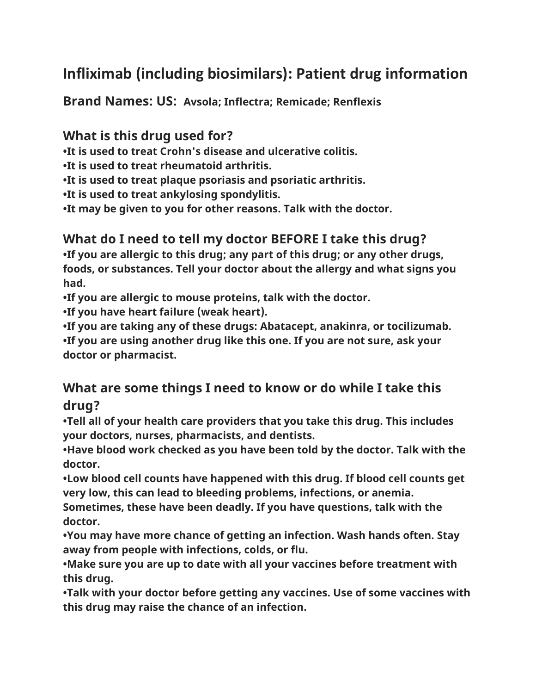# **Infliximab (including biosimilars): Patient drug information**

**Brand Names: US: Avsola; Inflectra; Remicade; Renflexis**

#### **What is this drug used for?**

**•It is used to treat Crohn's disease and ulcerative colitis.**

**•It is used to treat rheumatoid arthritis.**

**•It is used to treat plaque psoriasis and psoriatic arthritis.**

**•It is used to treat ankylosing spondylitis.**

**•It may be given to you for other reasons. Talk with the doctor.**

### **What do I need to tell my doctor BEFORE I take this drug?**

**•If you are allergic to this drug; any part of this drug; or any other drugs, foods, or substances. Tell your doctor about the allergy and what signs you had.**

**•If you are allergic to mouse proteins, talk with the doctor.**

**•If you have heart failure (weak heart).**

**•If you are taking any of these drugs: Abatacept, anakinra, or tocilizumab.**

**•If you are using another drug like this one. If you are not sure, ask your doctor or pharmacist.**

### **What are some things I need to know or do while I take this drug?**

**•Tell all of your health care providers that you take this drug. This includes your doctors, nurses, pharmacists, and dentists.**

**•Have blood work checked as you have been told by the doctor. Talk with the doctor.**

**•Low blood cell counts have happened with this drug. If blood cell counts get very low, this can lead to bleeding problems, infections, or anemia.** 

**Sometimes, these have been deadly. If you have questions, talk with the doctor.**

**•You may have more chance of getting an infection. Wash hands often. Stay away from people with infections, colds, or flu.**

**•Make sure you are up to date with all your vaccines before treatment with this drug.**

**•Talk with your doctor before getting any vaccines. Use of some vaccines with this drug may raise the chance of an infection.**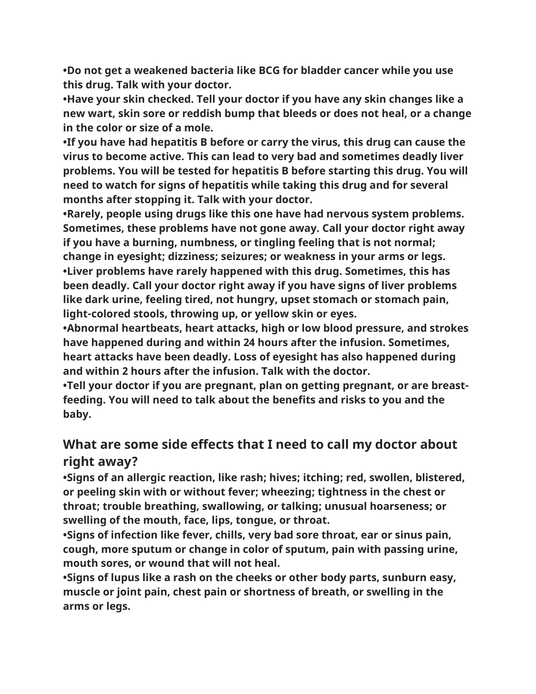**•Do not get a weakened bacteria like BCG for bladder cancer while you use this drug. Talk with your doctor.**

**•Have your skin checked. Tell your doctor if you have any skin changes like a new wart, skin sore or reddish bump that bleeds or does not heal, or a change in the color or size of a mole.**

**•If you have had hepatitis B before or carry the virus, this drug can cause the virus to become active. This can lead to very bad and sometimes deadly liver problems. You will be tested for hepatitis B before starting this drug. You will need to watch for signs of hepatitis while taking this drug and for several months after stopping it. Talk with your doctor.**

**•Rarely, people using drugs like this one have had nervous system problems. Sometimes, these problems have not gone away. Call your doctor right away if you have a burning, numbness, or tingling feeling that is not normal; change in eyesight; dizziness; seizures; or weakness in your arms or legs. •Liver problems have rarely happened with this drug. Sometimes, this has been deadly. Call your doctor right away if you have signs of liver problems like dark urine, feeling tired, not hungry, upset stomach or stomach pain, light-colored stools, throwing up, or yellow skin or eyes.**

**•Abnormal heartbeats, heart attacks, high or low blood pressure, and strokes have happened during and within 24 hours after the infusion. Sometimes, heart attacks have been deadly. Loss of eyesight has also happened during and within 2 hours after the infusion. Talk with the doctor.**

**•Tell your doctor if you are pregnant, plan on getting pregnant, or are breastfeeding. You will need to talk about the benefits and risks to you and the baby.**

## **What are some side effects that I need to call my doctor about right away?**

**•Signs of an allergic reaction, like rash; hives; itching; red, swollen, blistered, or peeling skin with or without fever; wheezing; tightness in the chest or throat; trouble breathing, swallowing, or talking; unusual hoarseness; or swelling of the mouth, face, lips, tongue, or throat.**

**•Signs of infection like fever, chills, very bad sore throat, ear or sinus pain, cough, more sputum or change in color of sputum, pain with passing urine, mouth sores, or wound that will not heal.**

**•Signs of lupus like a rash on the cheeks or other body parts, sunburn easy, muscle or joint pain, chest pain or shortness of breath, or swelling in the arms or legs.**